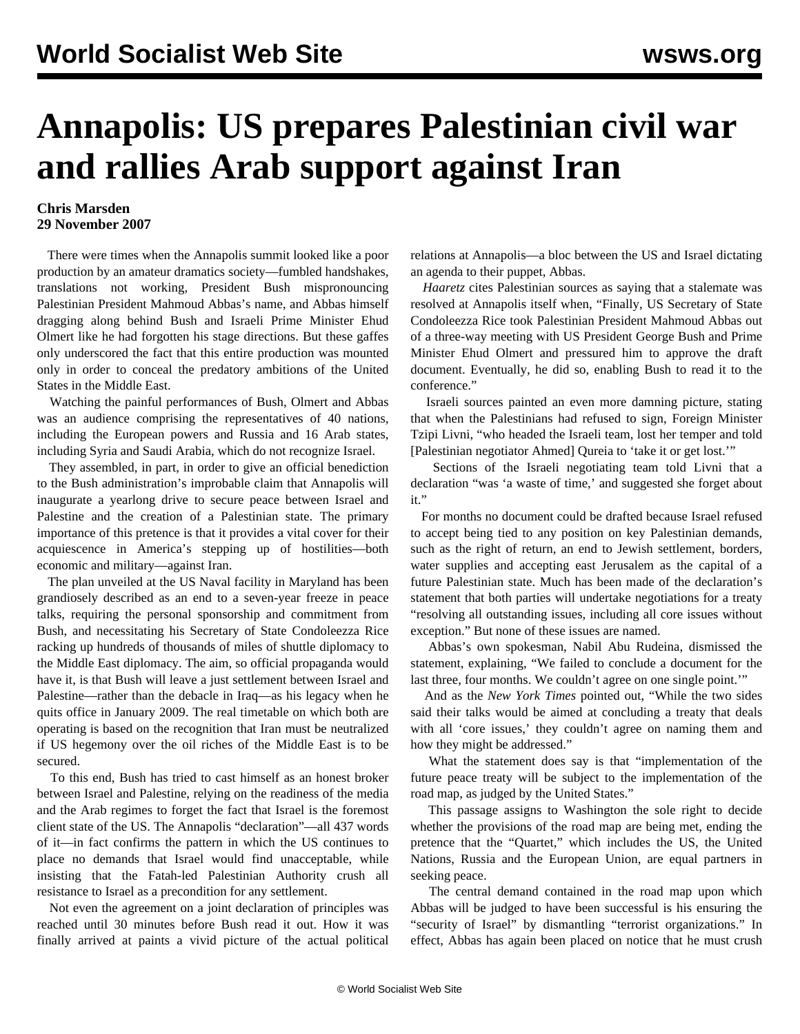## **Annapolis: US prepares Palestinian civil war and rallies Arab support against Iran**

## **Chris Marsden 29 November 2007**

 There were times when the Annapolis summit looked like a poor production by an amateur dramatics society—fumbled handshakes, translations not working, President Bush mispronouncing Palestinian President Mahmoud Abbas's name, and Abbas himself dragging along behind Bush and Israeli Prime Minister Ehud Olmert like he had forgotten his stage directions. But these gaffes only underscored the fact that this entire production was mounted only in order to conceal the predatory ambitions of the United States in the Middle East.

 Watching the painful performances of Bush, Olmert and Abbas was an audience comprising the representatives of 40 nations, including the European powers and Russia and 16 Arab states, including Syria and Saudi Arabia, which do not recognize Israel.

 They assembled, in part, in order to give an official benediction to the Bush administration's improbable claim that Annapolis will inaugurate a yearlong drive to secure peace between Israel and Palestine and the creation of a Palestinian state. The primary importance of this pretence is that it provides a vital cover for their acquiescence in America's stepping up of hostilities—both economic and military—against Iran.

 The plan unveiled at the US Naval facility in Maryland has been grandiosely described as an end to a seven-year freeze in peace talks, requiring the personal sponsorship and commitment from Bush, and necessitating his Secretary of State Condoleezza Rice racking up hundreds of thousands of miles of shuttle diplomacy to the Middle East diplomacy. The aim, so official propaganda would have it, is that Bush will leave a just settlement between Israel and Palestine—rather than the debacle in Iraq—as his legacy when he quits office in January 2009. The real timetable on which both are operating is based on the recognition that Iran must be neutralized if US hegemony over the oil riches of the Middle East is to be secured.

 To this end, Bush has tried to cast himself as an honest broker between Israel and Palestine, relying on the readiness of the media and the Arab regimes to forget the fact that Israel is the foremost client state of the US. The Annapolis "declaration"—all 437 words of it—in fact confirms the pattern in which the US continues to place no demands that Israel would find unacceptable, while insisting that the Fatah-led Palestinian Authority crush all resistance to Israel as a precondition for any settlement.

 Not even the agreement on a joint declaration of principles was reached until 30 minutes before Bush read it out. How it was finally arrived at paints a vivid picture of the actual political relations at Annapolis—a bloc between the US and Israel dictating an agenda to their puppet, Abbas.

 *Haaretz* cites Palestinian sources as saying that a stalemate was resolved at Annapolis itself when, "Finally, US Secretary of State Condoleezza Rice took Palestinian President Mahmoud Abbas out of a three-way meeting with US President George Bush and Prime Minister Ehud Olmert and pressured him to approve the draft document. Eventually, he did so, enabling Bush to read it to the conference."

 Israeli sources painted an even more damning picture, stating that when the Palestinians had refused to sign, Foreign Minister Tzipi Livni, "who headed the Israeli team, lost her temper and told [Palestinian negotiator Ahmed] Qureia to 'take it or get lost.'"

 Sections of the Israeli negotiating team told Livni that a declaration "was 'a waste of time,' and suggested she forget about it."

 For months no document could be drafted because Israel refused to accept being tied to any position on key Palestinian demands, such as the right of return, an end to Jewish settlement, borders, water supplies and accepting east Jerusalem as the capital of a future Palestinian state. Much has been made of the declaration's statement that both parties will undertake negotiations for a treaty "resolving all outstanding issues, including all core issues without exception." But none of these issues are named.

 Abbas's own spokesman, Nabil Abu Rudeina, dismissed the statement, explaining, "We failed to conclude a document for the last three, four months. We couldn't agree on one single point."

 And as the *New York Times* pointed out, "While the two sides said their talks would be aimed at concluding a treaty that deals with all 'core issues,' they couldn't agree on naming them and how they might be addressed."

 What the statement does say is that "implementation of the future peace treaty will be subject to the implementation of the road map, as judged by the United States."

 This passage assigns to Washington the sole right to decide whether the provisions of the road map are being met, ending the pretence that the "Quartet," which includes the US, the United Nations, Russia and the European Union, are equal partners in seeking peace.

 The central demand contained in the road map upon which Abbas will be judged to have been successful is his ensuring the "security of Israel" by dismantling "terrorist organizations." In effect, Abbas has again been placed on notice that he must crush